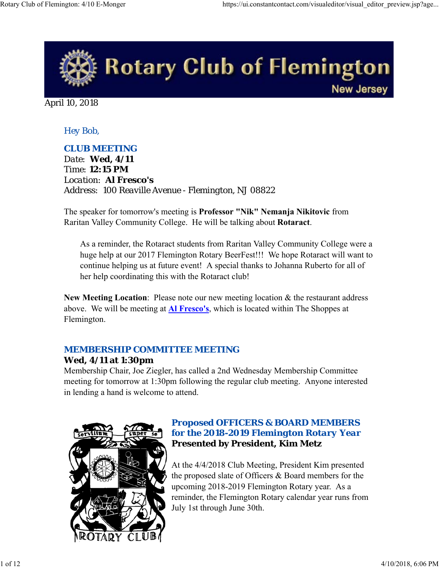

April 10, 2018

### *Hey Bob,*

#### *CLUB MEETING*

*Date: Wed, 4/11 Time: 12:15 PM Location: Al Fresco's Address: 100 Reaville Avenue - Flemington, NJ 08822*

The speaker for tomorrow's meeting is **Professor "Nik" Nemanja Nikitovic** from Raritan Valley Community College. He will be talking about **Rotaract**.

As a reminder, the Rotaract students from Raritan Valley Community College were a huge help at our 2017 Flemington Rotary BeerFest!!! We hope Rotaract will want to continue helping us at future event! A special thanks to Johanna Ruberto for all of her help coordinating this with the Rotaract club!

**New Meeting Location**: Please note our new meeting location & the restaurant address above. We will be meeting at **Al Fresco's**, which is located within The Shoppes at Flemington.

#### *MEMBERSHIP COMMITTEE MEETING*

#### **Wed, 4/11 at 1:30pm**

Membership Chair, Joe Ziegler, has called a 2nd Wednesday Membership Committee meeting for tomorrow at 1:30pm following the regular club meeting. Anyone interested in lending a hand is welcome to attend.



### *Proposed OFFICERS & BOARD MEMBERS for the 2018-2019 Flemington Rotary Year* **Presented by President, Kim Metz**

At the 4/4/2018 Club Meeting, President Kim presented the proposed slate of Officers & Board members for the upcoming 2018-2019 Flemington Rotary year. As a reminder, the Flemington Rotary calendar year runs from July 1st through June 30th.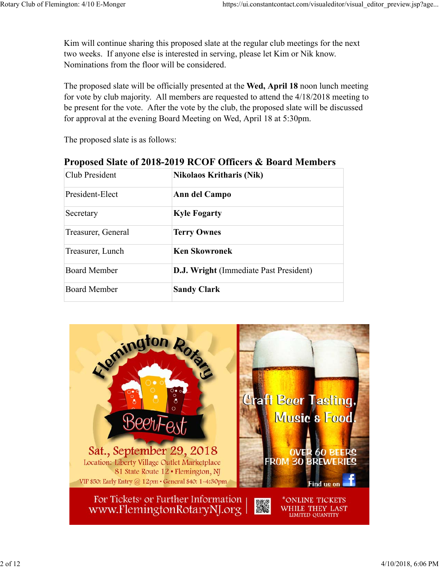Kim will continue sharing this proposed slate at the regular club meetings for the next two weeks. If anyone else is interested in serving, please let Kim or Nik know. Nominations from the floor will be considered.

The proposed slate will be officially presented at the **Wed, April 18** noon lunch meeting for vote by club majority. All members are requested to attend the 4/18/2018 meeting to be present for the vote. After the vote by the club, the proposed slate will be discussed for approval at the evening Board Meeting on Wed, April 18 at 5:30pm.

The proposed slate is as follows:

## **Proposed Slate of 2018-2019 RCOF Officers & Board Members**

| Club President      | <b>Nikolaos Kritharis (Nik)</b>               |  |  |
|---------------------|-----------------------------------------------|--|--|
| President-Elect     | Ann del Campo                                 |  |  |
| Secretary           | <b>Kyle Fogarty</b>                           |  |  |
| Treasurer, General  | <b>Terry Ownes</b>                            |  |  |
| Treasurer, Lunch    | <b>Ken Skowronek</b>                          |  |  |
| Board Member        | <b>D.J. Wright (Immediate Past President)</b> |  |  |
| <b>Board Member</b> | <b>Sandy Clark</b>                            |  |  |

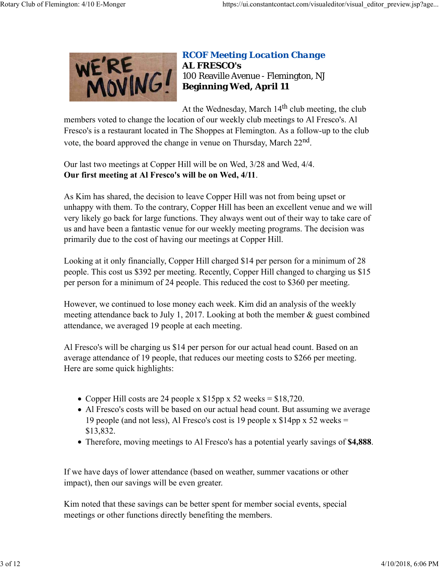

### *RCOF Meeting Location Change* **AL FRESCO's** 100 Reaville Avenue - Flemington, NJ **Beginning Wed, April 11**

At the Wednesday, March  $14<sup>th</sup>$  club meeting, the club

members voted to change the location of our weekly club meetings to Al Fresco's. Al Fresco's is a restaurant located in The Shoppes at Flemington. As a follow-up to the club vote, the board approved the change in venue on Thursday, March 22nd.

Our last two meetings at Copper Hill will be on Wed, 3/28 and Wed, 4/4. **Our first meeting at Al Fresco's will be on Wed, 4/11**.

As Kim has shared, the decision to leave Copper Hill was not from being upset or unhappy with them. To the contrary, Copper Hill has been an excellent venue and we will very likely go back for large functions. They always went out of their way to take care of us and have been a fantastic venue for our weekly meeting programs. The decision was primarily due to the cost of having our meetings at Copper Hill.

Looking at it only financially, Copper Hill charged \$14 per person for a minimum of 28 people. This cost us \$392 per meeting. Recently, Copper Hill changed to charging us \$15 per person for a minimum of 24 people. This reduced the cost to \$360 per meeting.

However, we continued to lose money each week. Kim did an analysis of the weekly meeting attendance back to July 1, 2017. Looking at both the member & guest combined attendance, we averaged 19 people at each meeting.

Al Fresco's will be charging us \$14 per person for our actual head count. Based on an average attendance of 19 people, that reduces our meeting costs to \$266 per meeting. Here are some quick highlights:

- Copper Hill costs are 24 people x  $$15pp \times 52$  weeks =  $$18,720$ .
- Al Fresco's costs will be based on our actual head count. But assuming we average 19 people (and not less), Al Fresco's cost is 19 people x \$14pp x 52 weeks = \$13,832.
- Therefore, moving meetings to Al Fresco's has a potential yearly savings of **\$4,888**.

If we have days of lower attendance (based on weather, summer vacations or other impact), then our savings will be even greater.

Kim noted that these savings can be better spent for member social events, special meetings or other functions directly benefiting the members.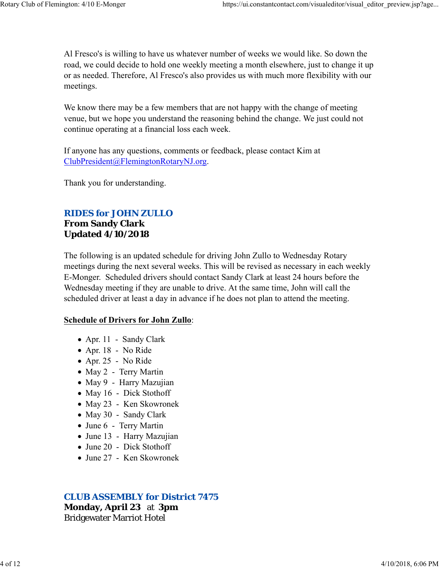Al Fresco's is willing to have us whatever number of weeks we would like. So down the road, we could decide to hold one weekly meeting a month elsewhere, just to change it up or as needed. Therefore, Al Fresco's also provides us with much more flexibility with our meetings.

We know there may be a few members that are not happy with the change of meeting venue, but we hope you understand the reasoning behind the change. We just could not continue operating at a financial loss each week.

If anyone has any questions, comments or feedback, please contact Kim at ClubPresident@FlemingtonRotaryNJ.org.

Thank you for understanding.

### *RIDES for JOHN ZULLO*

**From Sandy Clark Updated 4/10/2018**

The following is an updated schedule for driving John Zullo to Wednesday Rotary meetings during the next several weeks. This will be revised as necessary in each weekly E-Monger. Scheduled drivers should contact Sandy Clark at least 24 hours before the Wednesday meeting if they are unable to drive. At the same time, John will call the scheduled driver at least a day in advance if he does not plan to attend the meeting.

#### **Schedule of Drivers for John Zullo**:

- Apr. 11 Sandy Clark
- Apr. 18 No Ride
- Apr. 25 No Ride
- May 2 Terry Martin
- May 9 Harry Mazujian
- May 16 Dick Stothoff
- May 23 Ken Skowronek
- May 30 Sandy Clark
- June 6 Terry Martin
- June 13 Harry Mazujian
- June 20 Dick Stothoff
- June 27 Ken Skowronek

#### *CLUB ASSEMBLY for District 7475*

**Monday, April 23** at **3pm** Bridgewater Marriot Hotel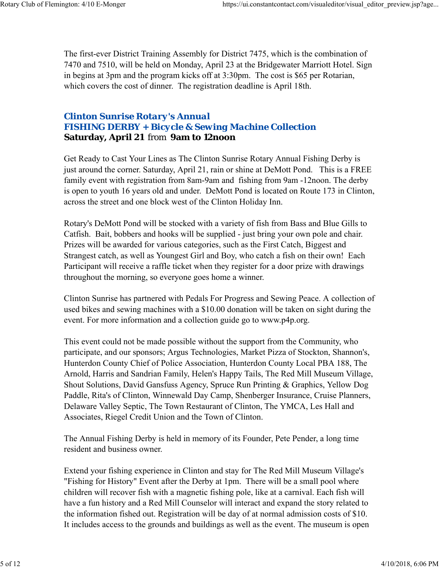The first-ever District Training Assembly for District 7475, which is the combination of 7470 and 7510, will be held on Monday, April 23 at the Bridgewater Marriott Hotel. Sign in begins at 3pm and the program kicks off at 3:30pm. The cost is \$65 per Rotarian, which covers the cost of dinner. The registration deadline is April 18th.

### *Clinton Sunrise Rotary's Annual FISHING DERBY + Bicycle & Sewing Machine Collection* **Saturday, April 21** from **9am to 12noon**

Get Ready to Cast Your Lines as The Clinton Sunrise Rotary Annual Fishing Derby is just around the corner. Saturday, April 21, rain or shine at DeMott Pond. This is a FREE family event with registration from 8am-9am and fishing from 9am -12noon. The derby is open to youth 16 years old and under. DeMott Pond is located on Route 173 in Clinton, across the street and one block west of the Clinton Holiday Inn.

Rotary's DeMott Pond will be stocked with a variety of fish from Bass and Blue Gills to Catfish. Bait, bobbers and hooks will be supplied - just bring your own pole and chair. Prizes will be awarded for various categories, such as the First Catch, Biggest and Strangest catch, as well as Youngest Girl and Boy, who catch a fish on their own! Each Participant will receive a raffle ticket when they register for a door prize with drawings throughout the morning, so everyone goes home a winner.

Clinton Sunrise has partnered with Pedals For Progress and Sewing Peace. A collection of used bikes and sewing machines with a \$10.00 donation will be taken on sight during the event. For more information and a collection guide go to www.p4p.org.

This event could not be made possible without the support from the Community, who participate, and our sponsors; Argus Technologies, Market Pizza of Stockton, Shannon's, Hunterdon County Chief of Police Association, Hunterdon County Local PBA 188, The Arnold, Harris and Sandrian Family, Helen's Happy Tails, The Red Mill Museum Village, Shout Solutions, David Gansfuss Agency, Spruce Run Printing & Graphics, Yellow Dog Paddle, Rita's of Clinton, Winnewald Day Camp, Shenberger Insurance, Cruise Planners, Delaware Valley Septic, The Town Restaurant of Clinton, The YMCA, Les Hall and Associates, Riegel Credit Union and the Town of Clinton.

The Annual Fishing Derby is held in memory of its Founder, Pete Pender, a long time resident and business owner.

Extend your fishing experience in Clinton and stay for The Red Mill Museum Village's "Fishing for History" Event after the Derby at 1pm. There will be a small pool where children will recover fish with a magnetic fishing pole, like at a carnival. Each fish will have a fun history and a Red Mill Counselor will interact and expand the story related to the information fished out. Registration will be day of at normal admission costs of \$10. It includes access to the grounds and buildings as well as the event. The museum is open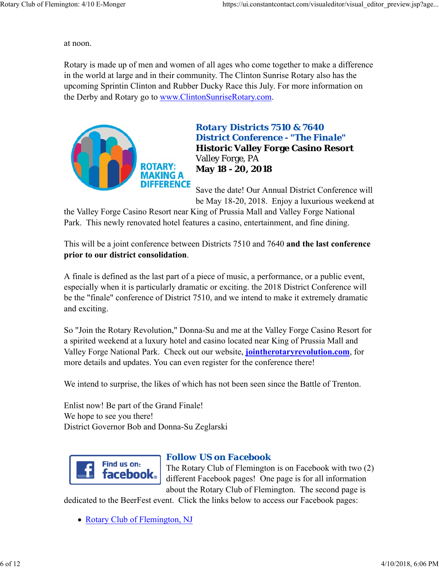at noon.

Rotary is made up of men and women of all ages who come together to make a difference in the world at large and in their community. The Clinton Sunrise Rotary also has the upcoming Sprintin Clinton and Rubber Ducky Race this July. For more information on the Derby and Rotary go to www.ClintonSunriseRotary.com.



# *Rotary Districts 7510 & 7640 District Conference - "The Finale"* **Historic Valley Forge Casino Resort** Valley Forge, PA **May 18 - 20, 2018**

Save the date! Our Annual District Conference will be May 18-20, 2018. Enjoy a luxurious weekend at

the Valley Forge Casino Resort near King of Prussia Mall and Valley Forge National Park. This newly renovated hotel features a casino, entertainment, and fine dining.

This will be a joint conference between Districts 7510 and 7640 **and the last conference prior to our district consolidation**.

A finale is defined as the last part of a piece of music, a performance, or a public event, especially when it is particularly dramatic or exciting. the 2018 District Conference will be the "finale" conference of District 7510, and we intend to make it extremely dramatic and exciting.

So "Join the Rotary Revolution," Donna-Su and me at the Valley Forge Casino Resort for a spirited weekend at a luxury hotel and casino located near King of Prussia Mall and Valley Forge National Park. Check out our website, **jointherotaryrevolution.com**, for more details and updates. You can even register for the conference there!

We intend to surprise, the likes of which has not been seen since the Battle of Trenton.

Enlist now! Be part of the Grand Finale! We hope to see you there! District Governor Bob and Donna-Su Zeglarski



### *Follow US on Facebook*

The Rotary Club of Flemington is on Facebook with two (2) different Facebook pages! One page is for all information about the Rotary Club of Flemington. The second page is

dedicated to the BeerFest event. Click the links below to access our Facebook pages:

• Rotary Club of Flemington, NJ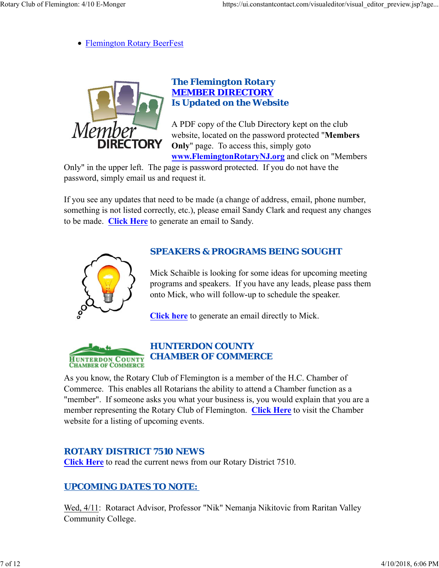Flemington Rotary BeerFest



### *The Flemington Rotary MEMBER DIRECTORY Is Updated on the Website*

A PDF copy of the Club Directory kept on the club website, located on the password protected "**Members Only**" page. To access this, simply goto **www.FlemingtonRotaryNJ.org** and click on "Members

Only" in the upper left. The page is password protected. If you do not have the password, simply email us and request it.

If you see any updates that need to be made (a change of address, email, phone number, something is not listed correctly, etc.), please email Sandy Clark and request any changes to be made. **Click Here** to generate an email to Sandy.



### *SPEAKERS & PROGRAMS BEING SOUGHT*

Mick Schaible is looking for some ideas for upcoming meeting programs and speakers. If you have any leads, please pass them onto Mick, who will follow-up to schedule the speaker.

**Click here** to generate an email directly to Mick.



### *HUNTERDON COUNTY CHAMBER OF COMMERCE*

As you know, the Rotary Club of Flemington is a member of the H.C. Chamber of Commerce. This enables all Rotarians the ability to attend a Chamber function as a "member". If someone asks you what your business is, you would explain that you are a member representing the Rotary Club of Flemington. **Click Here** to visit the Chamber website for a listing of upcoming events.

### *ROTARY DISTRICT 7510 NEWS*

**Click Here** to read the current news from our Rotary District 7510.

# *UPCOMING DATES TO NOTE:*

Wed, 4/11: Rotaract Advisor, Professor "Nik" Nemanja Nikitovic from Raritan Valley Community College.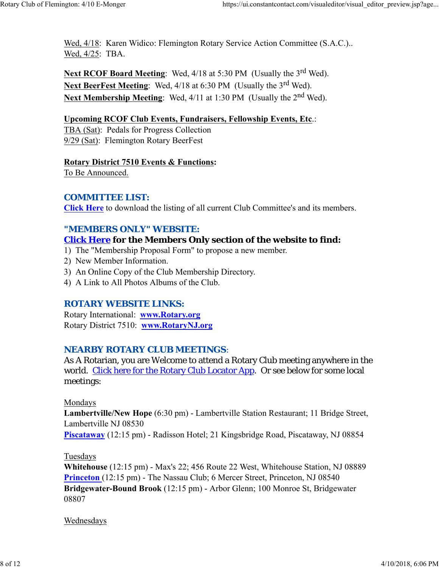Wed, 4/18: Karen Widico: Flemington Rotary Service Action Committee (S.A.C.).. Wed, 4/25: TBA.

**Next RCOF Board Meeting:** Wed, 4/18 at 5:30 PM (Usually the 3<sup>rd</sup> Wed). Next BeerFest Meeting: Wed, 4/18 at 6:30 PM (Usually the 3<sup>rd</sup> Wed). Next Membership Meeting: Wed, 4/11 at 1:30 PM (Usually the 2<sup>nd</sup> Wed).

#### **Upcoming RCOF Club Events, Fundraisers, Fellowship Events, Etc**.:

TBA (Sat): Pedals for Progress Collection 9/29 (Sat): Flemington Rotary BeerFest

#### **Rotary District 7510 Events & Functions:**

To Be Announced.

#### *COMMITTEE LIST:*

**Click Here** to download the listing of all current Club Committee's and its members.

#### *"MEMBERS ONLY" WEBSITE:*

### **Click Here for the Members Only section of the website to find:**

- 1) The "Membership Proposal Form" to propose a new member.
- 2) New Member Information.
- 3) An Online Copy of the Club Membership Directory.
- 4) A Link to All Photos Albums of the Club.

#### *ROTARY WEBSITE LINKS:*

Rotary International: **www.Rotary.org** Rotary District 7510: **www.RotaryNJ.org**

#### *NEARBY ROTARY CLUB MEETINGS:*

As A Rotarian, you are Welcome to attend a Rotary Club meeting anywhere in the world. Click here for the Rotary Club Locator App. Or see below for some local meetings:

#### Mondays

**Lambertville/New Hope** (6:30 pm) - Lambertville Station Restaurant; 11 Bridge Street, Lambertville NJ 08530

**Piscataway** (12:15 pm) - Radisson Hotel; 21 Kingsbridge Road, Piscataway, NJ 08854

#### Tuesdays

**Whitehouse** (12:15 pm) - Max's 22; 456 Route 22 West, Whitehouse Station, NJ 08889 **Princeton** (12:15 pm) - The Nassau Club; 6 Mercer Street, Princeton, NJ 08540 **Bridgewater-Bound Brook** (12:15 pm) - Arbor Glenn; 100 Monroe St, Bridgewater 08807

#### Wednesdays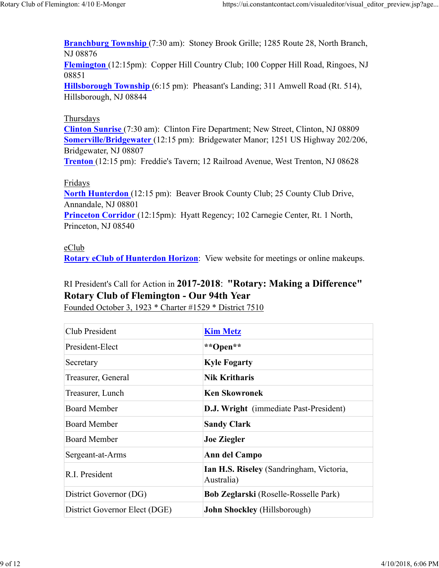**Branchburg Township** (7:30 am): Stoney Brook Grille; 1285 Route 28, North Branch, NJ 08876

**Flemington** (12:15pm): Copper Hill Country Club; 100 Copper Hill Road, Ringoes, NJ 08851

**Hillsborough Township** (6:15 pm): Pheasant's Landing; 311 Amwell Road (Rt. 514), Hillsborough, NJ 08844

### Thursdays

**Clinton Sunrise** (7:30 am): Clinton Fire Department; New Street, Clinton, NJ 08809 **Somerville/Bridgewater** (12:15 pm): Bridgewater Manor; 1251 US Highway 202/206, Bridgewater, NJ 08807

**Trenton** (12:15 pm): Freddie's Tavern; 12 Railroad Avenue, West Trenton, NJ 08628

### Fridays

**North Hunterdon** (12:15 pm): Beaver Brook County Club; 25 County Club Drive, Annandale, NJ 08801 **Princeton Corridor** (12:15pm): Hyatt Regency; 102 Carnegie Center, Rt. 1 North, Princeton, NJ 08540

### eClub

**Rotary eClub of Hunterdon Horizon**: View website for meetings or online makeups.

# RI President's Call for Action in **2017-2018**: **"Rotary: Making a Difference" Rotary Club of Flemington - Our 94th Year**

Founded October 3, 1923 \* Charter #1529 \* District 7510

| Club President                | <b>Kim Metz</b>                                        |  |  |
|-------------------------------|--------------------------------------------------------|--|--|
| President-Elect               | **Open**                                               |  |  |
| Secretary                     | <b>Kyle Fogarty</b>                                    |  |  |
| Treasurer, General            | <b>Nik Kritharis</b>                                   |  |  |
| Treasurer, Lunch              | <b>Ken Skowronek</b>                                   |  |  |
| Board Member                  | <b>D.J. Wright</b> (immediate Past-President)          |  |  |
| <b>Board Member</b>           | <b>Sandy Clark</b>                                     |  |  |
| <b>Board Member</b>           | <b>Joe Ziegler</b>                                     |  |  |
| Sergeant-at-Arms              | Ann del Campo                                          |  |  |
| R.I. President                | Ian H.S. Riseley (Sandringham, Victoria,<br>Australia) |  |  |
| District Governor (DG)        | Bob Zeglarski (Roselle-Rosselle Park)                  |  |  |
| District Governor Elect (DGE) | <b>John Shockley</b> (Hillsborough)                    |  |  |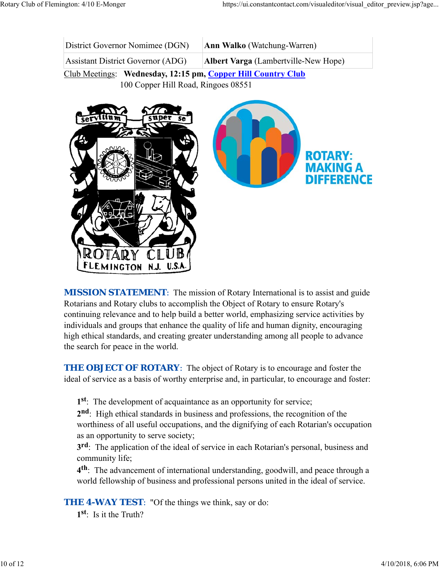| District Governor Nomimee (DGN)                              | <b>Ann Walko</b> (Watchung-Warren)          |  |  |  |
|--------------------------------------------------------------|---------------------------------------------|--|--|--|
| <b>Assistant District Governor (ADG)</b>                     | <b>Albert Varga</b> (Lambertville-New Hope) |  |  |  |
| Club Meetings: Wednesday, 12:15 pm, Copper Hill Country Club |                                             |  |  |  |

100 Copper Hill Road, Ringoes 08551



**MISSION STATEMENT:** The mission of Rotary International is to assist and guide Rotarians and Rotary clubs to accomplish the Object of Rotary to ensure Rotary's continuing relevance and to help build a better world, emphasizing service activities by individuals and groups that enhance the quality of life and human dignity, encouraging high ethical standards, and creating greater understanding among all people to advance the search for peace in the world.

**THE OBJECT OF ROTARY:** The object of Rotary is to encourage and foster the ideal of service as a basis of worthy enterprise and, in particular, to encourage and foster:

**1st**: The development of acquaintance as an opportunity for service;

**2nd**: High ethical standards in business and professions, the recognition of the worthiness of all useful occupations, and the dignifying of each Rotarian's occupation as an opportunity to serve society;

**3rd**: The application of the ideal of service in each Rotarian's personal, business and community life;

**4th**: The advancement of international understanding, goodwill, and peace through a world fellowship of business and professional persons united in the ideal of service.

**THE 4-WAY TEST:** "Of the things we think, say or do:

**1st**: Is it the Truth?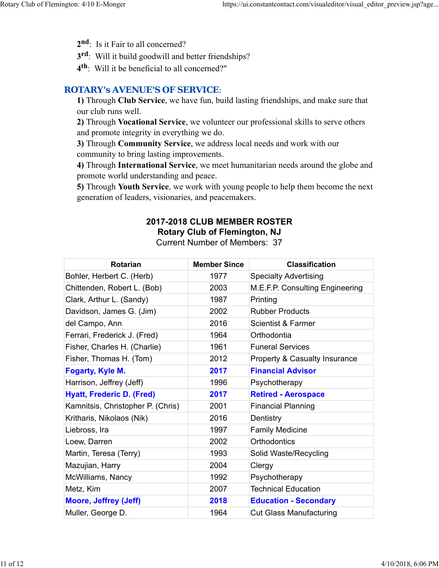- 2<sup>nd</sup>: Is it Fair to all concerned?
- **3rd**: Will it build goodwill and better friendships?
- **4th**: Will it be beneficial to all concerned?"

### *ROTARY's AVENUE'S OF SERVICE*:

**1)** Through **Club Service**, we have fun, build lasting friendships, and make sure that our club runs well.

**2)** Through **Vocational Service**, we volunteer our professional skills to serve others and promote integrity in everything we do.

**3)** Through **Community Service**, we address local needs and work with our community to bring lasting improvements.

**4)** Through **International Service**, we meet humanitarian needs around the globe and promote world understanding and peace.

**5)** Through **Youth Service**, we work with young people to help them become the next generation of leaders, visionaries, and peacemakers.

# **2017-2018 CLUB MEMBER ROSTER Rotary Club of Flemington, NJ**

Current Number of Members: 37

| <b>Rotarian</b>                   | <b>Member Since</b> | <b>Classification</b>           |
|-----------------------------------|---------------------|---------------------------------|
| Bohler, Herbert C. (Herb)         | 1977                | <b>Specialty Advertising</b>    |
| Chittenden, Robert L. (Bob)       | 2003                | M.E.F.P. Consulting Engineering |
| Clark, Arthur L. (Sandy)          | 1987                | Printing                        |
| Davidson, James G. (Jim)          | 2002                | <b>Rubber Products</b>          |
| del Campo, Ann                    | 2016                | <b>Scientist &amp; Farmer</b>   |
| Ferrari, Frederick J. (Fred)      | 1964                | Orthodontia                     |
| Fisher, Charles H. (Charlie)      | 1961                | <b>Funeral Services</b>         |
| Fisher, Thomas H. (Tom)           | 2012                | Property & Casualty Insurance   |
| Fogarty, Kyle M.                  | 2017                | <b>Financial Advisor</b>        |
| Harrison, Jeffrey (Jeff)          | 1996                | Psychotherapy                   |
| <b>Hyatt, Frederic D. (Fred)</b>  | 2017                | <b>Retired - Aerospace</b>      |
| Kamnitsis, Christopher P. (Chris) | 2001                | <b>Financial Planning</b>       |
| Kritharis, Nikolaos (Nik)         | 2016                | Dentistry                       |
| Liebross, Ira                     | 1997                | <b>Family Medicine</b>          |
| Loew, Darren                      | 2002                | Orthodontics                    |
| Martin, Teresa (Terry)            | 1993                | Solid Waste/Recycling           |
| Mazujian, Harry                   | 2004                | Clergy                          |
| McWilliams, Nancy                 | 1992                | Psychotherapy                   |
| Metz, Kim                         | 2007                | <b>Technical Education</b>      |
| <b>Moore, Jeffrey (Jeff)</b>      | 2018                | <b>Education - Secondary</b>    |
| Muller, George D.                 | 1964                | <b>Cut Glass Manufacturing</b>  |